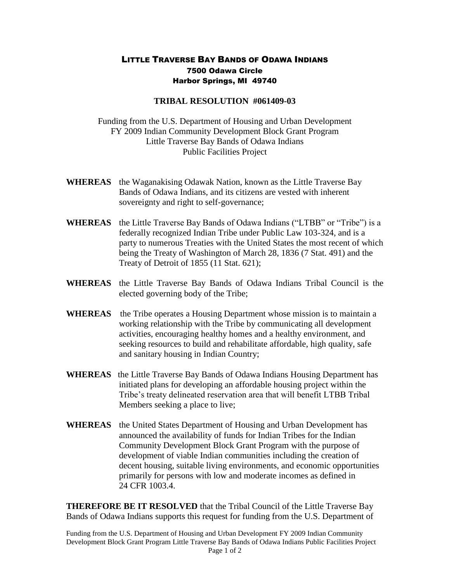## LITTLE TRAVERSE BAY BANDS OF ODAWA INDIANS 7500 Odawa Circle Harbor Springs, MI 49740

## **TRIBAL RESOLUTION #061409-03**

Funding from the U.S. Department of Housing and Urban Development FY 2009 Indian Community Development Block Grant Program Little Traverse Bay Bands of Odawa Indians Public Facilities Project

- **WHEREAS** the Waganakising Odawak Nation, known as the Little Traverse Bay Bands of Odawa Indians, and its citizens are vested with inherent sovereignty and right to self-governance;
- **WHEREAS** the Little Traverse Bay Bands of Odawa Indians ("LTBB" or "Tribe") is a federally recognized Indian Tribe under Public Law 103-324, and is a party to numerous Treaties with the United States the most recent of which being the Treaty of Washington of March 28, 1836 (7 Stat. 491) and the Treaty of Detroit of 1855 (11 Stat. 621);
- **WHEREAS** the Little Traverse Bay Bands of Odawa Indians Tribal Council is the elected governing body of the Tribe;
- **WHEREAS** the Tribe operates a Housing Department whose mission is to maintain a working relationship with the Tribe by communicating all development activities, encouraging healthy homes and a healthy environment, and seeking resources to build and rehabilitate affordable, high quality, safe and sanitary housing in Indian Country;
- **WHEREAS** the Little Traverse Bay Bands of Odawa Indians Housing Department has initiated plans for developing an affordable housing project within the Tribe's treaty delineated reservation area that will benefit LTBB Tribal Members seeking a place to live;
- **WHEREAS** the United States Department of Housing and Urban Development has announced the availability of funds for Indian Tribes for the Indian Community Development Block Grant Program with the purpose of development of viable Indian communities including the creation of decent housing, suitable living environments, and economic opportunities primarily for persons with low and moderate incomes as defined in 24 CFR 1003.4.

**THEREFORE BE IT RESOLVED** that the Tribal Council of the Little Traverse Bay Bands of Odawa Indians supports this request for funding from the U.S. Department of

Funding from the U.S. Department of Housing and Urban Development FY 2009 Indian Community Development Block Grant Program Little Traverse Bay Bands of Odawa Indians Public Facilities Project Page 1 of 2